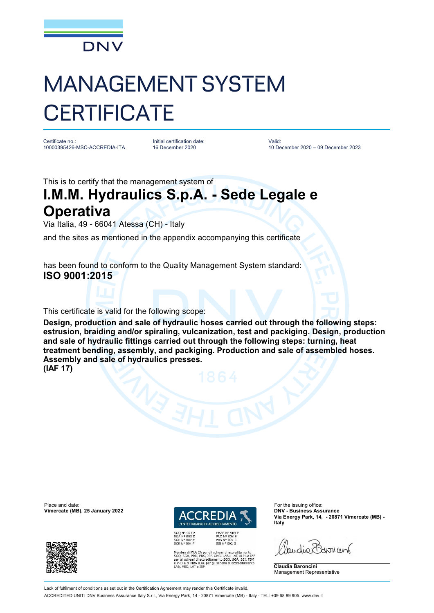

## MANAGEMENT SYSTEM **CERTIFICATE**

Certificate no.: 10000395426-MSC-ACCREDIA-ITA Initial certification date: 16 December 2020

Valid: 10 December 2020 – 09 December 2023

This is to certify that the management system of

## **I.M.M. Hydraulics S.p.A. - Sede Legale e Operativa**

Via Italia, 49 - 66041 Atessa (CH) - Italy

and the sites as mentioned in the appendix accompanying this certificate

has been found to conform to the Quality Management System standard: **ISO 9001:2015**

This certificate is valid for the following scope:

**Design, production and sale of hydraulic hoses carried out through the following steps: estrusion, braiding and/or spiraling, vulcanization, test and packiging. Design, production and sale of hydraulic fittings carried out through the following steps: turning, heat treatment bending, assembly, and packiging. Production and sale of assembled hoses. Assembly and sale of hydraulics presses. (IAF 17)**

Place and date: For the issuing office:<br> **Place and date:** For the issuing office:<br> **Place and date:** For the issuing office:<br> **Place and date:** For the issuing office: **Vimercate (MB), 25 January 2022** 





EMAS Nº 009 P<br>PRD Nº 003 B<br>PRS Nº 094 C<br>SSI Nº 002 G MLA EA per gli schemi di accreditamento<br>PRD, PRS, ISP, GHG, LAB e LAT, di MLA IAF<br>emi di accreditamento SGQ, SGA, SSI, FSM<br>MRA ILAC per gli schemi di accreditamento<br>LAT e ISP **Via Energy Park, 14, - 20871 Vimercate (MB) - Italy**

audie Barnant

**Claudia Baroncini** Management Representative

Lack of fulfilment of conditions as set out in the Certification Agreement may render this Certificate invalid

ACCREDITED UNIT: DNV Business Assurance Italy S.r.l., Via Energy Park, 14 - 20871 Vimercate (MB) - Italy - TEL: +39 68 99 905. [www.dnv.it](http://www.dnv.it)